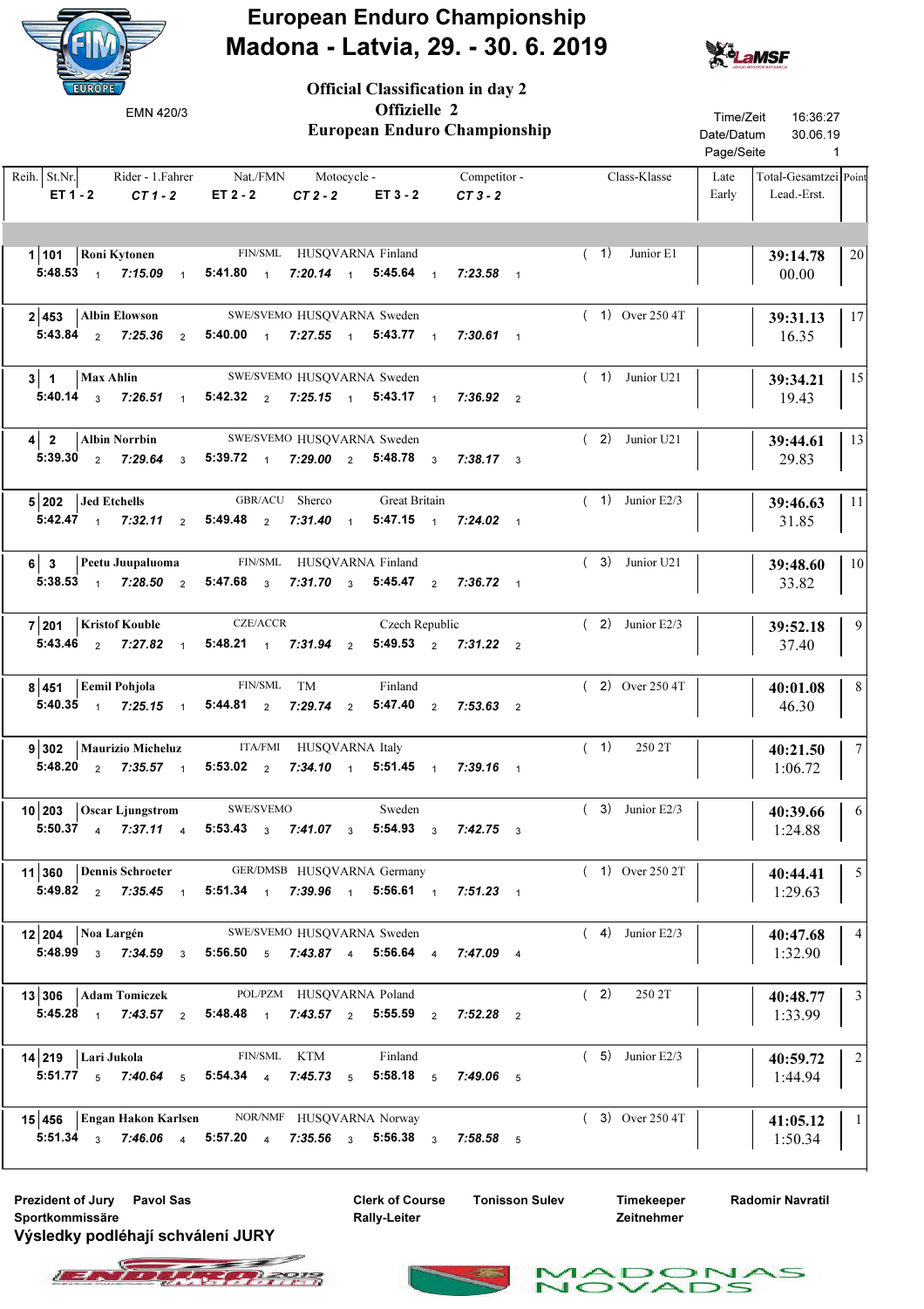

Official Classification in day 2



| EMN 420/3                                                                                                                                                                             |                                                                              | Offizielle 2<br><b>European Enduro Championship</b> | Time/Zeit<br>16:36:27<br>Date/Datum<br>30.06.19<br>Page/Seite<br>$\mathbf{1}$ |                                                       |                 |
|---------------------------------------------------------------------------------------------------------------------------------------------------------------------------------------|------------------------------------------------------------------------------|-----------------------------------------------------|-------------------------------------------------------------------------------|-------------------------------------------------------|-----------------|
| Reih. St.Nr.<br>$ET 1 - 2$ $CT 1 - 2$                                                                                                                                                 | Rider - 1. Fahrer Mat./FMN Motocycle - Competitor -<br>$ET 2 - 2$<br>$CT2-2$ | $ET 3 - 2$ $CT 3 - 2$                               | Class-Klasse                                                                  | Total-Gesamtzei Point<br>Late<br>Early<br>Lead.-Erst. |                 |
| 1 101   Roni Kytonen FIN/SML HUSQVARNA Finland<br>5:48.53 1 7:15.09 1 5:41.80 1 7:20.14 1 5:45.64 1 7:23.58 1                                                                         |                                                                              |                                                     | (1)<br>Junior E1                                                              | 39:14.78<br>00.00                                     | 20              |
| $2 453 $ Albin Elowson<br>5:43.84 2 7:25.36 2 5:40.00 1 7:27.55 1 5:43.77 1 7:30.61 1                                                                                                 | SWE/SVEMO HUSQVARNA Sweden                                                   |                                                     | $(1)$ Over 250 4T                                                             | 39:31.13<br>16.35                                     | 17              |
| $3 \mid 1$   Max Ahlin<br>5:40.14 $\frac{1}{3}$ 7:26.51 $\frac{1}{1}$ 5:42.32 $\frac{2}{2}$ 7:25.15 $\frac{1}{1}$ 5:43.17 $\frac{1}{1}$ 7:36.92 $\frac{2}{2}$                         | SWE/SVEMO HUSQVARNA Sweden                                                   |                                                     | $(1)$ Junior U21                                                              | 39:34.21<br>19.43                                     | 15              |
| 4 2 Albin Norrbin SWE/SVEMO HUSQVARNA Sweden<br>5:39.30 2 7:29.64 3 5:39.72 1 7:29.00 2 5:48.78 3 7:38.17 3                                                                           |                                                                              |                                                     | $(2)$ Junior U21                                                              | 39:44.61<br>29.83                                     | 13              |
| $5 202 $ Jed Etchells<br>5:42.47 1 7:32.11 2 5:49.48 2 7:31.40 1 5:47.15 1 7:24.02 1                                                                                                  | GBR/ACU Sherco                                                               | Great Britain                                       | $(1)$ Junior E2/3                                                             | 39:46.63<br>31.85                                     | -11             |
| 6 3 Peetu Juupaluoma FIN/SML HUSQVARNA Finland<br>5:38.53 1 7:28.50 2 5:47.68 3 7:31.70 3 5:45.47 2 7:36.72 1                                                                         |                                                                              |                                                     | $(3)$ Junior U21                                                              | 39:48.60<br>33.82                                     | 10              |
| 7 201   Kristof Kouble CZE/ACCR Czech Republic<br>5:43.46 $\frac{1}{2}$ 7:27.82 $\frac{1}{1}$ 5:48.21 $\frac{1}{1}$ 7:31.94 $\frac{1}{2}$ 5:49.53 $\frac{1}{2}$ 7:31.22 $\frac{1}{2}$ |                                                                              |                                                     | $(2)$ Junior E2/3                                                             | 39:52.18<br>37.40                                     | 9               |
| 8 451 Eemil Pohjola<br>5:40.35 1 7:25.15 1 5:44.81 2 7:29.74 2 5:47.40 2 7:53.63 2                                                                                                    | FIN/SML TM                                                                   | Finland                                             | $(2)$ Over 250 4T                                                             | 40:01.08<br>46.30                                     | 8               |
| 9 302   Maurizio Micheluz ITA/FMI HUSQVARNA Italy<br>5:48.20 $2$ 7:35.57 1                                                                                                            | 5:53.02 2 7:34.10 1 5:51.45 1 7:39.16 1                                      |                                                     | (1)<br>250 2T                                                                 | 40:21.50<br>1:06.72                                   | $7\phantom{.0}$ |
| 10 203 Oscar Ljungstrom SWE/SVEMO<br>5:50.37 4 7:37.11 4 5:53.43 3 7:41.07 3 5:54.93 3 7:42.75 3                                                                                      |                                                                              | Sweden                                              | $(3)$ Junior E2/3                                                             | 40:39.66<br>1:24.88                                   | $\sqrt{6}$      |
| 11 360 Dennis Schroeter<br>5:49.82 2 7:35.45 1 5:51.34 1 7:39.96 1 5:56.61 1 7:51.23 1                                                                                                | GER/DMSB HUSQVARNA Germany                                                   |                                                     | $(1)$ Over 250 2T                                                             | 40:44.41<br>1:29.63                                   | $5\overline{5}$ |
| 12 204   Noa Largén SWE/SVEMO HUSQVARNA Sweden<br>5:48.99 $\frac{1}{3}$ 7:34.59 $\frac{1}{3}$ 5:56.50 $\frac{1}{5}$ 7:43.87 $\frac{1}{4}$ 5:56.64 $\frac{1}{4}$ 7:47.09 $\frac{1}{4}$ |                                                                              |                                                     | $(4)$ Junior E2/3                                                             | 40:47.68<br>1:32.90                                   | $\overline{4}$  |
| 13 306   Adam Tomiczek POL/PZM HUSQVARNA Poland<br>5:45.28 1 7:43.57 2 5:48.48 1 7:43.57 2 5:55.59 2 7:52.28 2                                                                        |                                                                              |                                                     | (2)<br>250 2T                                                                 | 40:48.77<br>1:33.99                                   | $\mathfrak{Z}$  |
| $14 219 $ Lari Jukola<br>5:51.77 $\frac{1}{5}$ 7:40.64 $\frac{1}{5}$ 5:54.34 $\frac{1}{4}$ 7:45.73 $\frac{1}{5}$ 5:58.18 $\frac{1}{5}$ 7:49.06 $\frac{1}{5}$                          | FIN/SML KTM                                                                  | Finland                                             | $(5)$ Junior E2/3                                                             | 40:59.72<br>1:44.94                                   | $\overline{2}$  |
| 15 456 Engan Hakon Karlsen NOR/NMF HUSQVARNA Norway<br>5:51.34 3 7:46.06 4 5:57.20 4 7:35.56 3 5:56.38 3 7:58.58 5                                                                    |                                                                              |                                                     | $(3)$ Over 250 4T                                                             | 41:05.12   1<br>1:50.34                               |                 |

Prezident of Jury Pavol Sas The Clerk of Course Tonisson Sulev Sportkommissäre Výsledky podléhají schválení JURY

Clerk of Course Rally-Leiter

Timekeeper Zeitnehmer

Radomir Navratil





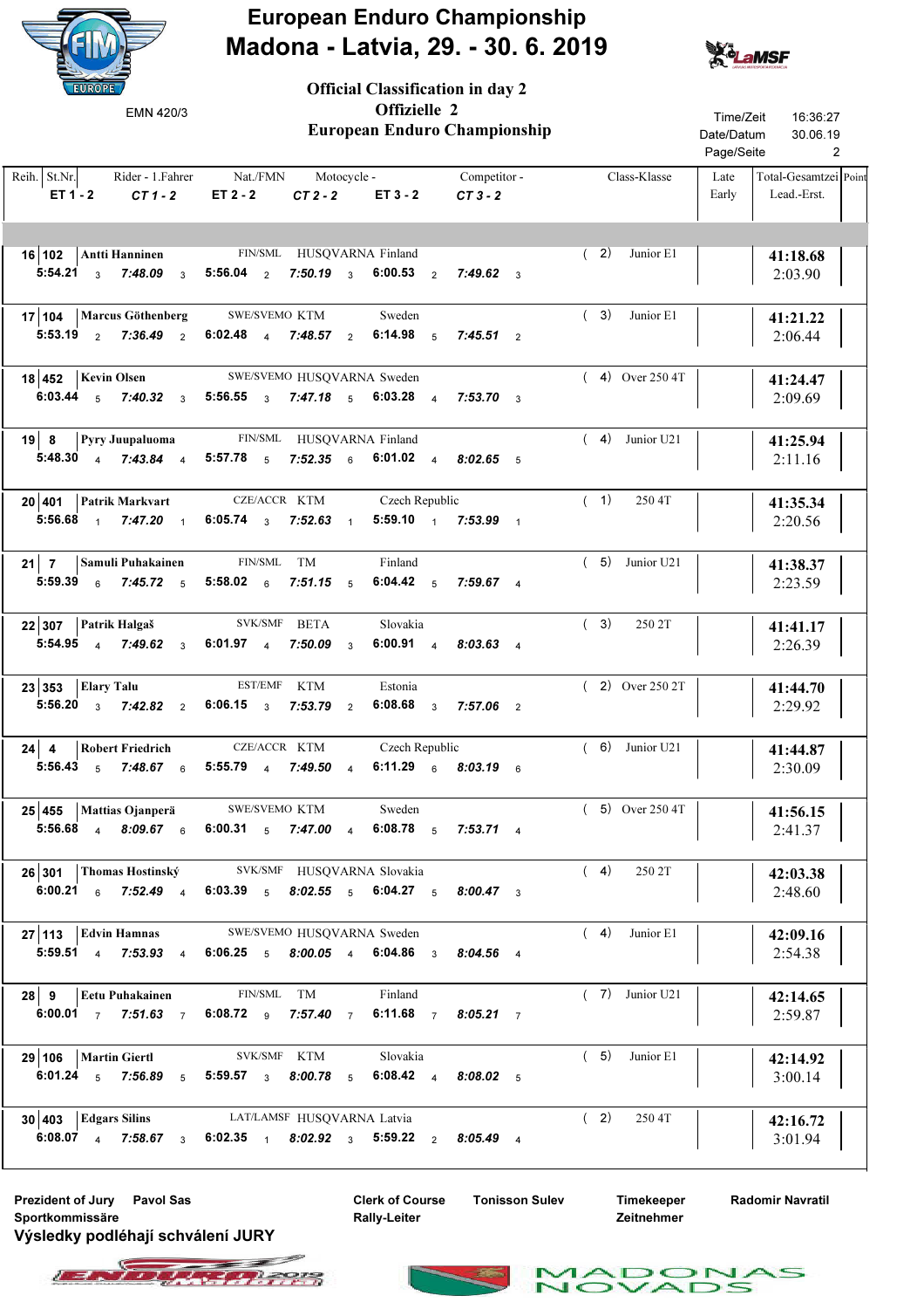

Official Classification in day 2



| EMN 420/3                                          | European Enduro Championship                                                                                                                       | Time/Zeit<br>16:36:27<br>Date/Datum<br>30.06.19<br>Page/Seite<br>2                    |                   |                                                       |
|----------------------------------------------------|----------------------------------------------------------------------------------------------------------------------------------------------------|---------------------------------------------------------------------------------------|-------------------|-------------------------------------------------------|
| Reih. St.Nr.<br>ET 1 - 2<br>$CT1-2$                | $ET 2 - 2$                                                                                                                                         | Rider - 1. Fahrer Mat./FMN Motocycle - Competitor -<br>$CT2 - 2$ $ET3 - 2$<br>$CT3-2$ | Class-Klasse      | Total-Gesamtzei Point<br>Late<br>Early<br>Lead.-Erst. |
| 16 102 Antti Hanninen FIN/SML HUSQVARNA Finland    | 5:54.21 3 7:48.09 3 5:56.04 2 7:50.19 3 6:00.53 2 7:49.62 3                                                                                        |                                                                                       | (2)<br>Junior E1  | 41:18.68<br>2:03.90                                   |
| 17   104   Marcus Göthenberg SWE/SVEMO KTM         | 5:53.19 $\frac{1}{2}$ 7:36.49 $\frac{1}{2}$ 6:02.48 $\frac{1}{4}$ 7:48.57 $\frac{1}{2}$ 6:14.98 $\frac{1}{5}$ 7:45.51 $\frac{1}{2}$                | Sweden                                                                                | Junior E1<br>(3)  | 41:21.22<br>2:06.44                                   |
| $18 452 $ Kevin Olsen                              | SWE/SVEMO HUSQVARNA Sweden<br>6:03.44 5 7:40.32 3 5:56.55 3 7:47.18 5 6:03.28 4 7:53.70 3                                                          |                                                                                       | $(4)$ Over 250 4T | 41:24.47<br>2:09.69                                   |
| 19 8 Pyry Juupaluoma FIN/SML HUSQVARNA Finland     | 5:48.30 4 7:43.84 4 5:57.78 5 7:52.35 6 6:01.02 4 8:02.65 5                                                                                        |                                                                                       | $(4)$ Junior U21  | 41:25.94<br>2:11.16                                   |
| $20 401$ Patrik Markvart                           | CZE/ACCR KTM<br>5:56.68 1 7:47.20 1 6:05.74 3 7:52.63 1 5:59.10 1 7:53.99 1                                                                        | Czech Republic                                                                        | (1)<br>250 4T     | 41:35.34<br>2:20.56                                   |
| 21   7   Samuli Puhakainen FIN/SML TM              | 5:59.39 $\frac{6}{9}$ 7:45.72 $\frac{5}{5}$ 5:58.02 $\frac{6}{9}$ 7:51.15 $\frac{5}{9}$ 6:04.42 $\frac{5}{9}$ 7:59.67 $\frac{4}{9}$                | Finland                                                                               | $(5)$ Junior U21  | 41:38.37<br>2:23.59                                   |
| 22 307 Patrik Halgaš SVK/SMF BETA                  | 5:54.95 4 7:49.62 3 6:01.97 4 7:50.09 3 6:00.91 4 8:03.63 4                                                                                        | Slovakia                                                                              | (3)<br>250 2T     | 41:41.17<br>2:26.39                                   |
| $23 353 $ Elary Talu                               | EST/EMF KTM<br>5:56.20 $\frac{1}{3}$ 7:42.82 $\frac{2}{2}$ 6:06.15 $\frac{3}{3}$ 7:53.79 $\frac{2}{3}$                                             | Estonia<br>6:08.68 $3$ 7:57.06 $2$                                                    | $(2)$ Over 250 2T | 41:44.70<br>2:29.92                                   |
| 24   Robert Friedrich CZE/ACCR KTM                 | 5:56.43 $\frac{1}{5}$ 7:48.67 $\frac{1}{6}$ 5:55.79 $\frac{1}{4}$ 7:49.50 $\frac{1}{4}$                                                            | Czech Republic<br>6:11.29 6 8:03.19 6                                                 | $(6)$ Junior U21  | 41:44.87<br>2:30.09                                   |
| 25 455 Mattias Ojanperä SWE/SVEMO KTM Sweden       | 5:56.68 4 8:09.67 6 6:00.31 5 7:47.00 4 6:08.78 5 7:53.71 4                                                                                        |                                                                                       | $(5)$ Over 250 4T | 41:56.15<br>2:41.37                                   |
| 26 301 Thomas Hostinský SVK/SMF HUSQVARNA Slovakia | 6:00.21 6 7:52.49 4 6:03.39 5 8:02.55 5 6:04.27 5 8:00.47 3                                                                                        |                                                                                       | (4)<br>250 2T     | 42:03.38<br>2:48.60                                   |
| $27 113$ Edvin Hamnas                              | SWE/SVEMO HUSQVARNA Sweden<br>5:59.51 4 7:53.93 4 6:06.25 5 8:00.05 4 6:04.86 3 8:04.56 4                                                          |                                                                                       | (4)<br>Junior E1  | 42:09.16<br>2:54.38                                   |
| $28 \mid 9$<br><b>Eetu Puhakainen</b>              | FIN/SML TM<br>6:00.01 7 7:51.63 7 6:08.72 9 7:57.40 7 6:11.68 7 8:05.21 7                                                                          | Finland                                                                               | $(7)$ Junior U21  | 42:14.65<br>2:59.87                                   |
| $29 106$   Martin Giertl                           | SVK/SMF KTM<br>6:01.24 $\frac{1}{5}$ 7:56.89 $\frac{1}{5}$ 5:59.57 $\frac{1}{3}$ 8:00.78 $\frac{1}{5}$ 6:08.42 $\frac{1}{4}$ 8:08.02 $\frac{1}{5}$ | Slovakia                                                                              | (5)<br>Junior E1  | 42:14.92<br>3:00.14                                   |
| 30 403 Edgars Silins LAT/LAMSF HUSQVARNA Latvia    | 6:08.07 4 7:58.67 3 6:02.35 1 8:02.92 3 5:59.22 2 8:05.49 4                                                                                        |                                                                                       | (2)<br>250 4T     | 42:16.72<br>3:01.94                                   |

Prezident of Jury Pavol Sas The Clerk of Course Tonisson Sulev Sportkommissäre Výsledky podléhají schválení JURY

Clerk of Course Rally-Leiter

Timekeeper Zeitnehmer

 $\mathbf{r}$ 

Radomir Navratil

 $\leq$ 



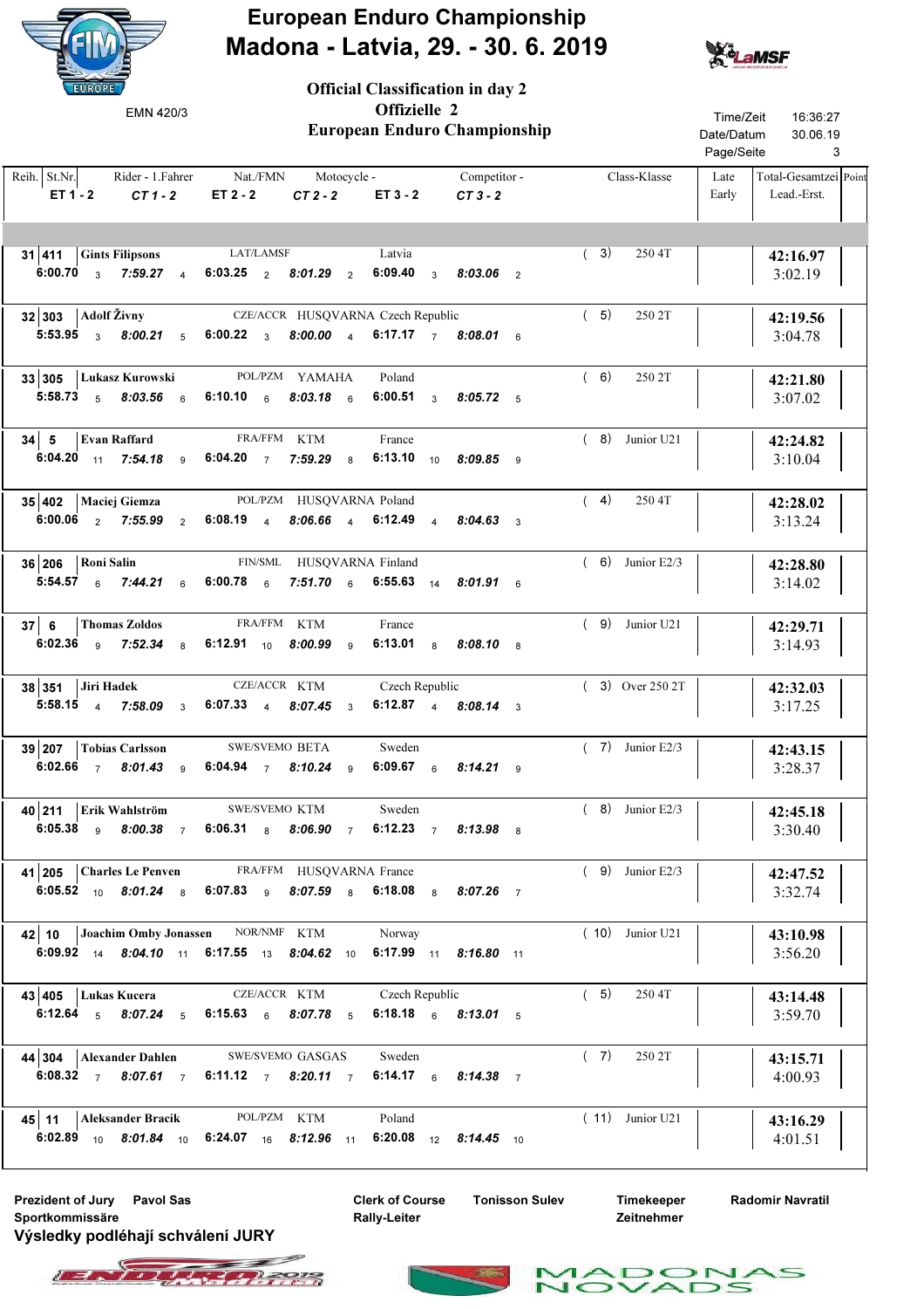

Official Classification in day 2



| EMN 420/3                                                                                                                                                | Offizielle 2                                                         | European Enduro Championship | Time/Zeit<br>Date/Datum<br>Page/Seite | 16:36:27<br>30.06.19<br>3 |                   |               |                                      |
|----------------------------------------------------------------------------------------------------------------------------------------------------------|----------------------------------------------------------------------|------------------------------|---------------------------------------|---------------------------|-------------------|---------------|--------------------------------------|
| Reih. St.Nr.<br>ET 1 - 2<br>$CT1-2$                                                                                                                      | Rider - 1. Fahrer Mat./FMN Motocycle - Competitor -<br>$ET 2 - 2$    | $CT2-2$                      | $ET3 - 2$                             | $CT3-2$                   | Class-Klasse      | Late<br>Early | Total-Gesamtzei Point<br>Lead.-Erst. |
| <b>31 411 Gints Filipsons</b> LAT/LAMSF<br>6:00.70 $3$ 7:59.27 $4$ 6:03.25 $2$ 8:01.29 $2$                                                               |                                                                      |                              | Latvia                                | 6:09.40 $3.03.06$ 2       | (3)<br>250 4T     |               | 42:16.97<br>3:02.19                  |
| $32 303 $ Adolf Živny<br>5:53.95 3 8:00.21 5 6:00.22 3 8:00.00 4 6:17.17 7 8:08.01 6                                                                     | CZE/ACCR HUSQVARNA Czech Republic                                    |                              |                                       |                           | (5)<br>250 2T     |               | 42:19.56<br>3:04.78                  |
| 33 305 Lukasz Kurowski<br>5:58.73 $5\,$ 8:03.56 $6\,$ 6:10.10 $6\,$ 8:03.18 $6\,$                                                                        | POL/PZM YAMAHA                                                       |                              | Poland                                | 6:00.51 3 8:05.72 5       | (6)<br>250 2T     |               | 42:21.80<br>3:07.02                  |
| $34 \mid 5$ Evan Raffard<br>6:04.20 11 7:54.18 9                                                                                                         | FRA/FFM KTM<br>6:04.20 $\frac{7.59.29}{6.01}$ 8                      |                              | France                                | 6:13.10 10 8:09.85 9      | $(8)$ Junior U21  |               | 42:24.82<br>3:10.04                  |
| 35 402   Maciej Giemza<br>6.00.06 $2$ 7:55.99 $2$ 6.08.19 $4$ 8.06.66 $4$ 6.12.49 $4$ 8.04.63 $3$                                                        | POL/PZM HUSQVARNA Poland                                             |                              |                                       |                           | (4)<br>250 4T     |               | 42:28.02<br>3:13.24                  |
| 36 206 Roni Salin<br>5:54.57 $\frac{1}{6}$ 7:44.21 $\frac{1}{6}$ 6:00.78 $\frac{1}{6}$ 7:51.70 $\frac{1}{6}$ 6:55.63 $\frac{1}{4}$ 8:01.91 $\frac{1}{6}$ | FIN/SML HUSQVARNA Finland                                            |                              |                                       |                           | $(6)$ Junior E2/3 |               | 42:28.80<br>3:14.02                  |
| 37 6<br>Thomas Zoldos<br>6:02.36 $9$ 7:52.34 $8$                                                                                                         | FRA/FFM KTM<br>6:12.91 $_{10}$ 8:00.99 $_{9}$                        |                              | France                                | 6:13.01 8 8:08.10 8       | $(9)$ Junior U21  |               | 42:29.71<br>3:14.93                  |
| $38 351$ Jiri Hadek<br>5:58.15 4 7:58.09 3 6:07.33 4 8:07.45 3 6:12.87 4 8:08.14 3                                                                       | CZE/ACCR KTM                                                         |                              | Czech Republic                        |                           | $(3)$ Over 250 2T |               | 42:32.03<br>3:17.25                  |
| $39 207$ Tobias Carlsson<br>6:02.66 $7$<br>$8.01.43$ 9                                                                                                   | <b>SWE/SVEMO BETA</b><br>6:04.94 $\frac{1}{7}$ 8:10.24 $\frac{1}{9}$ |                              | Sweden                                | 6:09.67 6 8:14.21 9       | $(7)$ Junior E2/3 |               | 42:43.15<br>3:28.37                  |
| 40 211 Erik Wahlström SWE/SVEMO KTM<br>6:05.38 9 8:00.38 7 6:06.31 8 8:06.90 7 6:12.23 7 8:13.98 8                                                       |                                                                      |                              | Sweden                                |                           | $(8)$ Junior E2/3 |               | 42:45.18<br>3:30.40                  |
| 41 205 Charles Le Penven FRA/FFM HUSQVARNA France<br>6:05.52 10 8:01.24 8 6:07.83 9 8:07.59 8 6:18.08 8 8:07.26 7                                        |                                                                      |                              |                                       |                           | $(9)$ Junior E2/3 |               | 42:47.52<br>3:32.74                  |
| 42   10   Joachim Omby Jonassen NOR/NMF KTM Norway<br>6:09.92 14 8:04.10 11 6:17.55 13 8:04.62 10 6:17.99 11 8:16.80 11                                  |                                                                      |                              |                                       |                           | $(10)$ Junior U21 |               | 43:10.98<br>3:56.20                  |
| 43 405   Lukas Kucera<br>6:12.64 5 8:07.24 5 6:15.63 6 8:07.78 5 6:18.18 6 8:13.01 5                                                                     | CZE/ACCR KTM                                                         |                              | Czech Republic                        |                           | (5)<br>250 4T     |               | 43:14.48<br>3:59.70                  |
| 44 304 Alexander Dahlen SWE/SVEMO GASGAS<br>6:08.32 7 8:07.61 7 6:11.12 7 8:20.11 7 6:14.17 6 8:14.38 7                                                  |                                                                      |                              | Sweden                                |                           | (7)<br>250 2T     |               | 43:15.71<br>4:00.93                  |
| 45   11   Aleksander Bracik POL/PZM KTM<br>6:02.89 10 8:01.84 10 6:24.07 16 8:12.96 11 6:20.08 12 8:14.45 10                                             |                                                                      |                              | Poland                                |                           | $(11)$ Junior U21 |               | 43:16.29<br>4:01.51                  |

Prezident of Jury Pavol Sas The Clerk of Course Tonisson Sulev Sportkommissäre Výsledky podléhají schválení JURY

Clerk of Course Rally-Leiter

Timekeeper Zeitnehmer

 $\mathbf{r}$ 

Radomir Navratil

 $\leq$ 



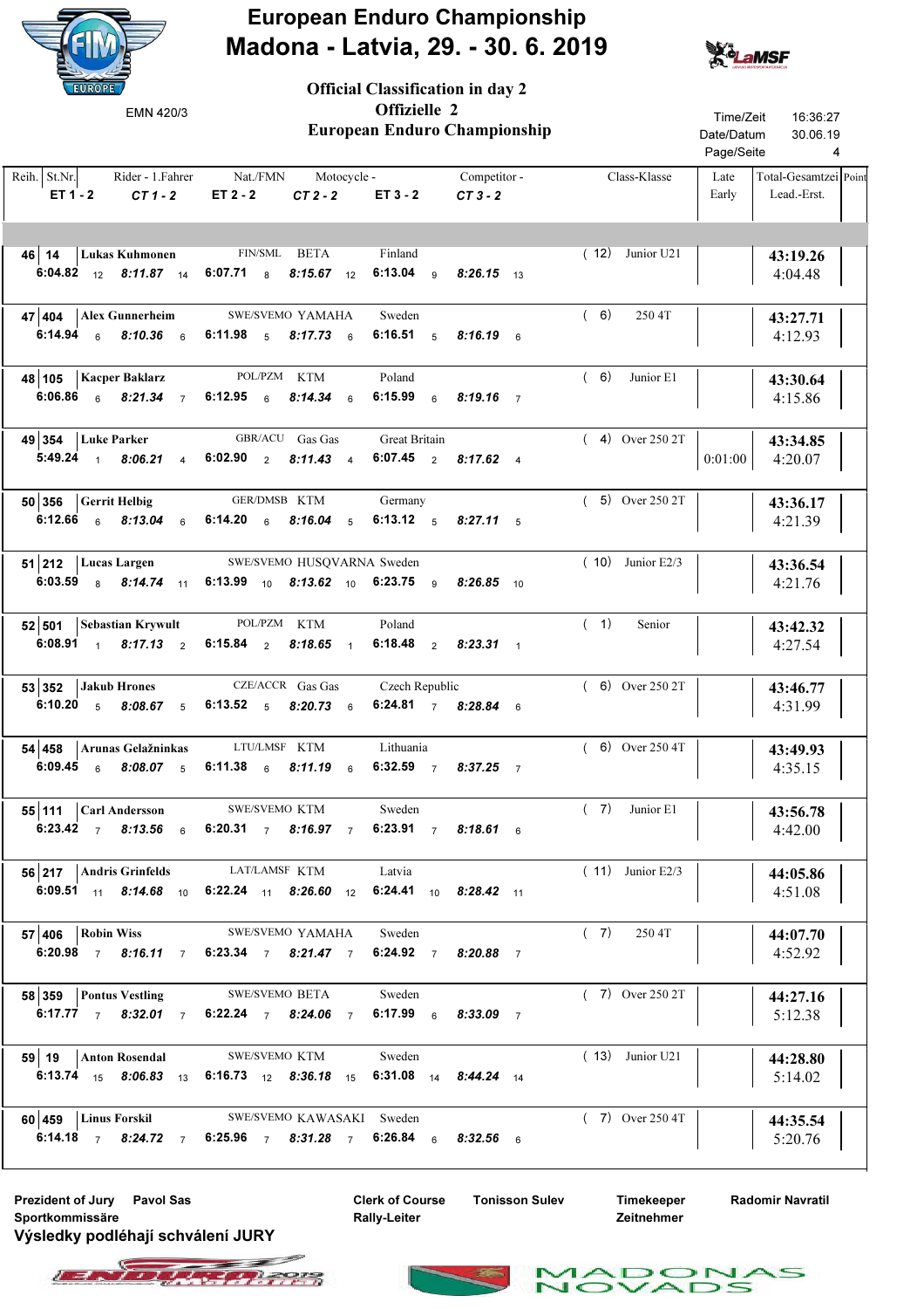

Official Classification in day 2



| EMN 420/3                                                                                                                                                                                  |                                                                                                  | Offizielle 2<br><b>European Enduro Championship</b> |                                         |  |                    | Time/Zeit<br>Date/Datum<br>Page/Seite | 16:36:27<br>30.06.19<br>4            |
|--------------------------------------------------------------------------------------------------------------------------------------------------------------------------------------------|--------------------------------------------------------------------------------------------------|-----------------------------------------------------|-----------------------------------------|--|--------------------|---------------------------------------|--------------------------------------|
| $Reih.$ St.Nr.<br>$ET 1 - 2$ $CT 1 - 2$                                                                                                                                                    | Rider - 1. Fahrer Mat./FMN Motocycle - Competitor - CT 1 - 2 ET 2 - 2 CT 2 - 2 ET 3 - 2 CT 3 - 2 |                                                     |                                         |  | Class-Klasse       | Late<br>Early                         | Total-Gesamtzei Point<br>Lead.-Erst. |
| 46   14   Lukas Kuhmonen FIN/SML BETA<br>6:04.82 $_{12}$ 8:11.87 $_{14}$ 6:07.71 $_{8}$ 8:15.67 $_{12}$ 6:13.04 $_{9}$ 8:26.15 $_{13}$                                                     |                                                                                                  |                                                     | Finland                                 |  | $(12)$ Junior U21  |                                       | 43:19.26<br>4:04.48                  |
| $47$   404   Alex Gunnerheim<br>6:14.94 6 8:10.36 6 6:11.98 5 8:17.73 6 6:16.51 5 8:16.19 6                                                                                                | SWE/SVEMO YAMAHA Sweden                                                                          |                                                     |                                         |  | (6)<br>250 4T      |                                       | 43:27.71<br>4:12.93                  |
| 48 105   Kacper Baklarz<br>6:06.86 6 8:21.34 7 6:12.95 6                                                                                                                                   | POL/PZM KTM                                                                                      |                                                     | Poland<br>8:14.34 6 6:15.99 6 8:19.16 7 |  | (6)<br>Junior E1   |                                       | 43:30.64<br>4:15.86                  |
| 49 354 Luke Parker GBR/ACU Gas Gas Great Britain<br>5:49.24 1 8:06.21 4 6:02.90 2 8:11.43 4 6:07.45 2 8:17.62 4                                                                            |                                                                                                  |                                                     |                                         |  | $(4)$ Over 250 2T  | 0:01:00                               | 43:34.85<br>4:20.07                  |
| $\mathbf{50}$ 356 Gerrit Helbig<br>6:12.66 6 8:13.04 6 6:14.20 6 8:16.04 5 6:13.12 5 8:27.11 5                                                                                             | GER/DMSB KTM                                                                                     |                                                     | Germany                                 |  | $(5)$ Over 250 2T  |                                       | 43:36.17<br>4:21.39                  |
| 51 212 Lucas Largen SWE/SVEMO HUSQVARNA Sweden<br>6:03.59 8 8:14.74 11 6:13.99 10 8:13.62 10 6:23.75 9 8:26.85 10                                                                          |                                                                                                  |                                                     |                                         |  | $(10)$ Junior E2/3 |                                       | 43:36.54<br>4:21.76                  |
| 52 501 Sebastian Krywult POL/PZM KTM<br>6:08.91 1 8:17.13 2 6:15.84 2 8:18.65 1 6:18.48 2 8:23.31 1                                                                                        |                                                                                                  |                                                     | Poland                                  |  | (1)<br>Senior      |                                       | 43:42.32<br>4:27.54                  |
| 53 352 Jakub Hrones CZE/ACCR Gas Gas Czech Republic<br>6:10.20 $\frac{1}{5}$ 8:08.67 $\frac{1}{5}$ 6:13.52 $\frac{1}{5}$ 8:20.73 $\frac{1}{6}$ 6:24.81 $\frac{1}{7}$ 8:28.84 $\frac{1}{6}$ |                                                                                                  |                                                     |                                         |  | $(6)$ Over 250 2T  |                                       | 43:46.77<br>4:31.99                  |
| 54 458 Arunas Gelažninkas LTU/LMSF KTM Lithuania<br>6:09.45 6 8:08.07 5 6:11.38 6 8:11.19 6 6:32.59 7 8:37.25 7                                                                            |                                                                                                  |                                                     |                                         |  | $(6)$ Over 250 4T  |                                       | 43:49.93<br>4:35.15                  |
| 55 111 Carl Andersson SWE/SVEMO KTM Sweden<br>6:23.42 7 8:13.56 6 6:20.31 7 8:16.97 7 6:23.91 7 8:18.61 6                                                                                  |                                                                                                  |                                                     |                                         |  | $(7)$ Junior E1    |                                       | 43:56.78<br>4:42.00                  |
| 56 217   Andris Grinfelds<br>6:09.51 11 8:14.68 10 6:22.24 11 8:26.60 12 6:24.41 10 8:28.42 11                                                                                             | LAT/LAMSF KTM                                                                                    |                                                     | Latvia                                  |  | $(11)$ Junior E2/3 |                                       | 44:05.86<br>4:51.08                  |
| $57 406 $ Robin Wiss<br>6:20.98 7 8:16.11 7 6:23.34 7 8:21.47 7 6:24.92 7 8:20.88 7                                                                                                        | SWE/SVEMO YAMAHA                                                                                 |                                                     | Sweden                                  |  | (7)<br>250 4T      |                                       | 44:07.70<br>4:52.92                  |
| 58 359 Pontus Vestling<br>6:17.77 7 8:32.01 7 6:22.24 7 8:24.06 7 6:17.99 6 8:33.09 7                                                                                                      | <b>SWE/SVEMO BETA</b>                                                                            |                                                     | Sweden                                  |  | $(7)$ Over 250 2T  |                                       | 44:27.16<br>5:12.38                  |
| 59 19   Anton Rosendal<br>6:13.74 $15$ 8:06.83 $13$ 6:16.73 $12$ 8:36.18 $15$ 6:31.08 $14$ 8:44.24 $14$                                                                                    | SWE/SVEMO KTM                                                                                    |                                                     | Sweden                                  |  | $(13)$ Junior U21  |                                       | 44:28.80<br>5:14.02                  |
| 60 459 Linus Forskil SWE/SVEMO KAWASAKI Sweden<br>6:14.18 7 8:24.72 7 6:25.96 7 8:31.28 7 6:26.84 6 8:32.56 6                                                                              |                                                                                                  |                                                     |                                         |  | $(7)$ Over 250 4T  |                                       | 44:35.54<br>5:20.76                  |

Prezident of Jury Pavol Sas The Clerk of Course Tonisson Sulev Sportkommissäre Výsledky podléhají schválení JURY

Clerk of Course Rally-Leiter

Timekeeper Zeitnehmer

 $\mathbf{r}$ 

Radomir Navratil

 $\triangle$ s



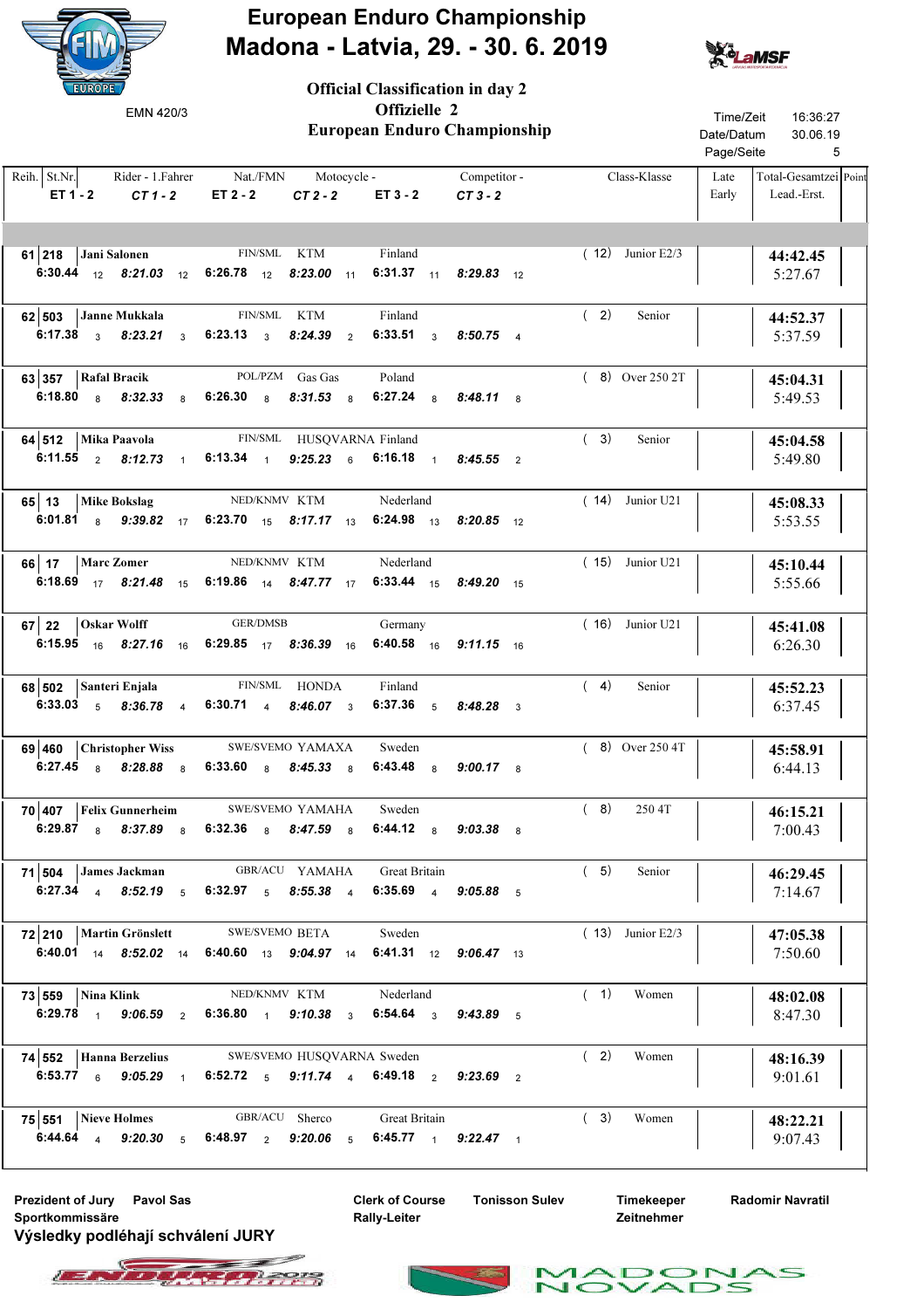

Official Classification in day 2



| EMN 420/3                                                                                 |                                                                                                                                                    | European Enduro Championship  | Time/Zeit<br>16:36:27<br>Date/Datum<br>30.06.19<br>Page/Seite<br>5 |                                                       |
|-------------------------------------------------------------------------------------------|----------------------------------------------------------------------------------------------------------------------------------------------------|-------------------------------|--------------------------------------------------------------------|-------------------------------------------------------|
| Reih. St.Nr. Rider - 1. Fahrer Nat./FMN Motocycle - Competitor -<br>$ET 1 - 2$<br>$CT1-2$ | $ET 2 - 2$                                                                                                                                         | $CT2-2$ $ET3-2$ $CT3-2$       | Class-Klasse                                                       | Total-Gesamtzei Point<br>Late<br>Early<br>Lead.-Erst. |
| 61   218   Jani Salonen FIN/SML KTM                                                       | 6:30.44 $12$ 8:21.03 $12$ 6:26.78 $12$ 8:23.00 $11$ 6:31.37 $11$ 8:29.83 $12$                                                                      | Finland                       | $(12)$ Junior E2/3                                                 | 44:42.45<br>5:27.67                                   |
| 62 503 Janne Mukkala                                                                      | FIN/SML KTM<br>6:17.38 $\frac{3}{3}$ 8:23.21 $\frac{3}{3}$ 6:23.13 $\frac{3}{3}$ 8:24.39 $\frac{2}{2}$ 6:33.51 $\frac{3}{3}$ 8:50.75 $\frac{4}{3}$ | Finland                       | (2)<br>Senior                                                      | 44:52.37<br>5:37.59                                   |
| $63 357 $ Rafal Bracik                                                                    | POL/PZM Gas Gas<br>6:18.80 a 8:32.33 a 6:26.30 a 8:31.53 a 6:27.24 a 8:48.11 a                                                                     | Poland                        | $(8)$ Over 250 2T                                                  | 45:04.31<br>5:49.53                                   |
| 64 512 Mika Paavola FIN/SML HUSQVARNA Finland                                             | 6:11.55 2 8:12.73 1 6:13.34 1 9:25.23 6 6:16.18 1 8:45.55 2                                                                                        |                               | (3)<br>Senior                                                      | 45:04.58<br>5:49.80                                   |
| 65 13   Mike Bokslag                                                                      | NED/KNMV KTM<br>6:01.81 8 9:39.82 17 6:23.70 15 8:17.17 13 6:24.98 13 8:20.85 12                                                                   | Nederland                     | $(14)$ Junior U21                                                  | 45:08.33<br>5:53.55                                   |
| 66 17   Marc Zomer                                                                        | NED/KNMV KTM<br>6:18.69 17 8:21.48 15 6:19.86 14 8:47.77 17 6:33.44 15 8:49.20 15                                                                  | Nederland                     | $(15)$ Junior U21                                                  | 45:10.44<br>5:55.66                                   |
| $67$   22   Oskar Wolff                                                                   | GER/DMSB<br>6:15.95 $16$ 8:27.16 $16$ 6:29.85 $17$ 8:36.39 $16$ 6:40.58 $16$ 9:11.15 $16$                                                          | Germany                       | $(16)$ Junior U21                                                  | 45:41.08<br>6:26.30                                   |
| 68 502 Santeri Enjala                                                                     | FIN/SML HONDA<br>6:33.03 5 8:36.78 4 6:30.71 4 8:46.07 3 6:37.36 5 8:48.28 3                                                                       | Finland                       | (4)<br>Senior                                                      | 45:52.23<br>6:37.45                                   |
| 69 460 Christopher Wiss SWE/SVEMO YAMAXA<br>6:27.45 $8.28.88$ 8                           | 6:33.60 $8.45.33$ $8.45.33$                                                                                                                        | Sweden<br>6:43.48 8 9:00.17 8 | $(8)$ Over 250 4T                                                  | 45:58.91<br>6:44.13                                   |
| 70 407 Felix Gunnerheim SWE/SVEMO YAMAHA                                                  | 6:29.87 8 8:37.89 8 6:32.36 8 8:47.59 8                                                                                                            | Sweden<br>6:44.12 8 9:03.38 8 | (8)<br>250 4T                                                      | 46:15.21<br>7:00.43                                   |
| 71 504 James Jackman                                                                      | GBR/ACU YAMAHA<br>6:27.34 4 8:52.19 5 6:32.97 5 8:55.38 4 6:35.69 4 9:05.88 5                                                                      | Great Britain                 | (5)<br>Senior                                                      | 46:29.45<br>7:14.67                                   |
| 72 210   Martin Grönslett SWE/SVEMO BETA                                                  | 6:40.01 $_{14}$ 8:52.02 $_{14}$ 6:40.60 $_{13}$ 9:04.97 $_{14}$ 6:41.31 $_{12}$ 9:06.47 $_{13}$                                                    | Sweden                        | $(13)$ Junior E2/3                                                 | 47:05.38<br>7:50.60                                   |
| $73 559 $ Nina Klink                                                                      | NED/KNMV KTM<br>6:29.78 1 9:06.59 2 6:36.80 1 9:10.38 3 6:54.64 3 9:43.89 5                                                                        | Nederland                     | (1)<br>Women                                                       | 48:02.08<br>8:47.30                                   |
| 74 552 Hanna Berzelius                                                                    | SWE/SVEMO HUSQVARNA Sweden<br>6:53.77 6 9:05.29 1 6:52.72 5 9:11.74 4 6:49.18 2 9:23.69 2                                                          |                               | (2)<br>Women                                                       | 48:16.39<br>9:01.61                                   |
| $75 551 $ Nieve Holmes                                                                    | GBR/ACU Sherco<br>6:44.64 4 9:20.30 5 6:48.97 2 9:20.06 5 6:45.77 1 9:22.47 1                                                                      | Great Britain                 | (3)<br>Women                                                       | 48:22.21<br>9:07.43                                   |

Prezident of Jury Pavol Sas The Clerk of Course Tonisson Sulev Sportkommissäre Výsledky podléhají schválení JURY

Clerk of Course Rally-Leiter

Timekeeper Zeitnehmer

 $\mathbf{r}$ 

Radomir Navratil

 $\triangle$ s



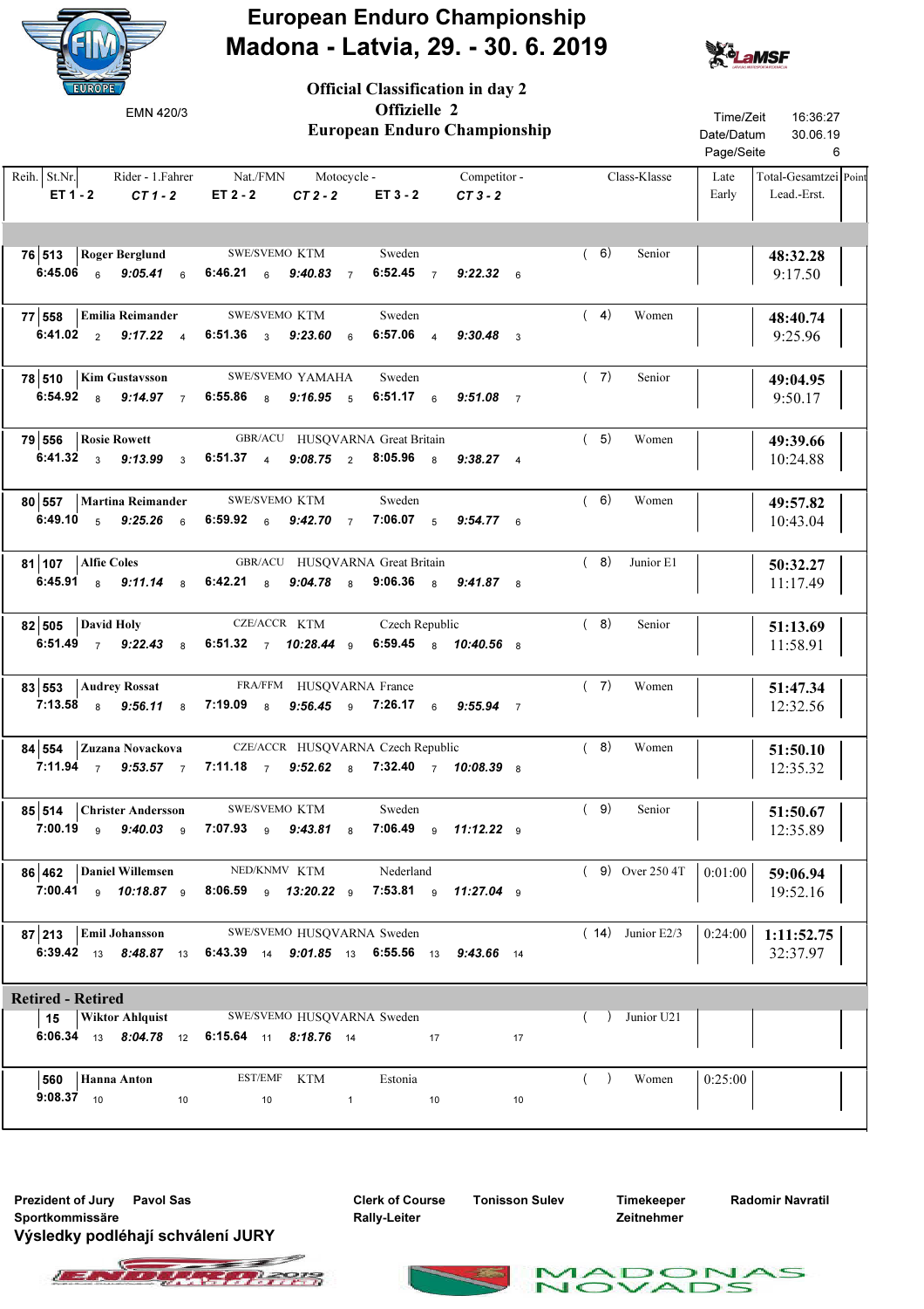



| <b>EUROPE</b><br>EMN 420/3                                                        | <b>Official Classification in day 2</b><br>Offizielle 2<br><b>European Enduro Championship</b>                                        | Time/Zeit<br>16:36:27<br>Date/Datum<br>30.06.19<br>Page/Seite<br>6    |
|-----------------------------------------------------------------------------------|---------------------------------------------------------------------------------------------------------------------------------------|-----------------------------------------------------------------------|
| Reih. St.Nr.<br>Rider - 1. Fahrer<br>$ET 1 - 2$<br>$CT1-2$                        | Nat./FMN<br>Competitor -<br>Motocycle -<br>ET 2 - 2<br>$CT2-2$<br>$ET3 - 2$<br>$CT3-2$                                                | Class-Klasse<br>Total-Gesamtzei Point<br>Late<br>Lead.-Erst.<br>Early |
| 76 513<br><b>Roger Berglund</b><br>6:45.06<br>$9:05.41$ 6<br>$6\overline{6}$      | (6)<br>SWE/SVEMO KTM<br>Sweden<br>6:46.21 6<br>6:52.45 $7$<br>9:40.83<br>$9:22.32$ 6<br>$\overline{7}$                                | Senior<br>48:32.28<br>9:17.50                                         |
| <b>Emilia Reimander</b><br>77 558<br>6:41.02 $2 \t 9:17.22 \t 4$                  | (4)<br>SWE/SVEMO KTM<br>Sweden<br>6:51.36 $3$<br>$6:57.06$ 4<br>9:23.60<br>$9:30.48$ 3<br>$6\phantom{1}$                              | Women<br>48:40.74<br>9:25.96                                          |
| 78 510<br><b>Kim Gustavsson</b><br>6:54.92 $8$<br>$9:14.97$ 7                     | (7)<br>SWE/SVEMO YAMAHA<br>Sweden<br>6:55.86 $8$<br>6:51.17 6<br>$9:16.95$ 5<br>$9:51.08$ 7                                           | Senior<br>49:04.95<br>9:50.17                                         |
| 79 556<br><b>Rosie Rowett</b><br>6:41.32 $\frac{3}{3}$<br>9:13.99<br>$\mathbf{3}$ | (5)<br>GBR/ACU HUSQVARNA Great Britain<br>$6:51.37 \t4$<br>9:08.75 2 8:05.96 8 9:38.27 4                                              | Women<br>49:39.66<br>10:24.88                                         |
| 80 557<br>Martina Reimander<br>6:49.10 $5$<br>9:25.26<br>$6\overline{6}$          | SWE/SVEMO KTM<br>(6)<br>Sweden<br>6:59.92 $6$<br>7:06.07 $5$<br>$9:42.70\quad 7$<br>$9:54.77$ 6                                       | Women<br>49:57.82<br>10:43.04                                         |
| 81 107<br><b>Alfie Coles</b><br>6:45.91 $8$<br>$9:11.14$ 8                        | GBR/ACU HUSQVARNA Great Britain<br>(8)<br>6:42.21<br>$9:04.78$ 8<br>9:06.36 $8$<br>$_{\rm 8}$<br>$9:41.87$ 8                          | Junior E1<br>50:32.27<br>11:17.49                                     |
| 82 505<br>David Holy<br>6:51.49 $7$ 9:22.43 $8$                                   | CZE/ACCR KTM<br>(8)<br>Czech Republic<br>6:51.32 7 10:28.44 9<br>6:59.45 8 10:40.56 8                                                 | Senior<br>51:13.69<br>11:58.91                                        |
| 83 553<br><b>Audrey Rossat</b><br>$7:13.58$ 8<br>9:56.11<br>8                     | (7)<br>FRA/FFM HUSQVARNA France<br>7:19.09<br>$9:56.45$ 9<br>7:26.17<br>8<br>$9:55.94$ 7<br>6                                         | Women<br>51:47.34<br>12:32.56                                         |
| 84 554<br>Zuzana Novackova<br>7:11.94 $7.53.57$ 7                                 | CZE/ACCR HUSQVARNA Czech Republic<br>(8)<br>7:11.18 $7$<br>9:52.62 8 7:32.40 7 10:08.39 8                                             | Women<br>51:50.10<br>12:35.32                                         |
|                                                                                   | 85 514 Christer Andersson SWE/SVEMO KTM Sweden<br>(9)<br>7:00.19 9 9:40.03 9 7:07.93 9 9:43.81 8 7:06.49 9 11:12.22 9                 | Senior<br>51:50.67<br>12:35.89                                        |
| 86 462 Daniel Willemsen NED/KNMV KTM                                              | Nederland<br>7:00.41 9 10:18.87 9 8:06.59 9 13:20.22 9 7:53.81 9 11:27.04 9                                                           | $(9)$ Over 250 4T<br>0:01:00<br>59:06.94<br>19:52.16                  |
| $87 213$ Emil Johansson                                                           | SWE/SVEMO HUSQVARNA Sweden<br>6:39.42 13 8:48.87 13 6:43.39 14 9:01.85 13 6:55.56 13 9:43.66 14                                       | $(14)$ Junior E2/3<br>0:24:00<br>1:11:52.75<br>32:37.97               |
| <b>Retired - Retired</b>                                                          |                                                                                                                                       |                                                                       |
|                                                                                   | 15   Wiktor Ahlquist SWE/SVEMO HUSQVARNA Sweden<br>$\sqrt{2}$<br>6:06.34 13 8:04.78 12 6:15.64 11 8:18.76 14<br>$\overline{17}$<br>17 | Junior U21                                                            |
| 560   Hanna Anton<br><b>9:08.37</b> $10$ $10$                                     | (<br>EST/EMF KTM<br>Estonia<br>$10$ and $1$ and $10$<br>10                                                                            | Women<br>0:25:00                                                      |

Prezident of Jury Pavol Sas The Clerk of Course Tonisson Sulev Sportkommissäre Výsledky podléhají schválení JURY

Clerk of Course Rally-Leiter

Timekeeper Zeitnehmer

 $\mathbf{r}$ 

ADO

1.

Radomir Navratil

 $\leq$